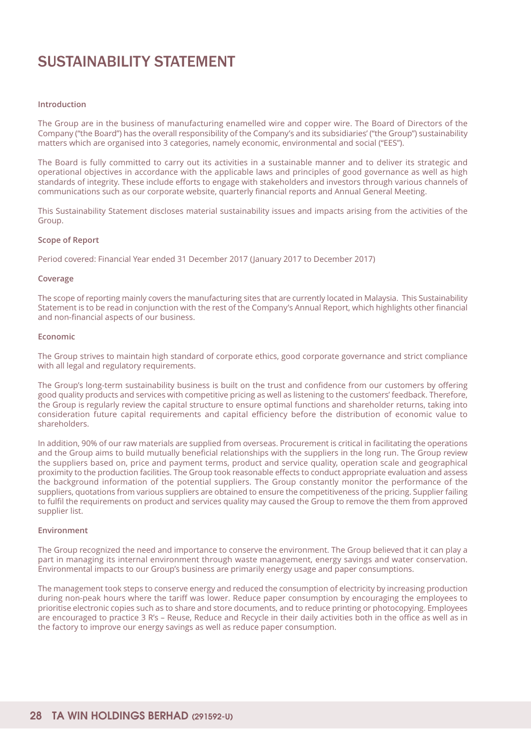# SUSTAINABILITY STATEMENT

### **Introduction**

The Group are in the business of manufacturing enamelled wire and copper wire. The Board of Directors of the Company ("the Board") has the overall responsibility of the Company's and its subsidiaries' ("the Group") sustainability matters which are organised into 3 categories, namely economic, environmental and social ("EES").

The Board is fully committed to carry out its activities in a sustainable manner and to deliver its strategic and operational objectives in accordance with the applicable laws and principles of good governance as well as high standards of integrity. These include efforts to engage with stakeholders and investors through various channels of communications such as our corporate website, quarterly financial reports and Annual General Meeting.

This Sustainability Statement discloses material sustainability issues and impacts arising from the activities of the Group.

#### **Scope of Report**

Period covered: Financial Year ended 31 December 2017 (January 2017 to December 2017)

#### **Coverage**

The scope of reporting mainly covers the manufacturing sites that are currently located in Malaysia. This Sustainability Statement is to be read in conjunction with the rest of the Company's Annual Report, which highlights other financial and non-financial aspects of our business.

#### **Economic**

The Group strives to maintain high standard of corporate ethics, good corporate governance and strict compliance with all legal and regulatory requirements.

The Group's long-term sustainability business is built on the trust and confidence from our customers by offering good quality products and services with competitive pricing as well as listening to the customers' feedback. Therefore, the Group is regularly review the capital structure to ensure optimal functions and shareholder returns, taking into consideration future capital requirements and capital efficiency before the distribution of economic value to shareholders.

In addition, 90% of our raw materials are supplied from overseas. Procurement is critical in facilitating the operations and the Group aims to build mutually beneficial relationships with the suppliers in the long run. The Group review the suppliers based on, price and payment terms, product and service quality, operation scale and geographical proximity to the production facilities. The Group took reasonable effects to conduct appropriate evaluation and assess the background information of the potential suppliers. The Group constantly monitor the performance of the suppliers, quotations from various suppliers are obtained to ensure the competitiveness of the pricing. Supplier failing to fulfil the requirements on product and services quality may caused the Group to remove the them from approved supplier list.

### **Environment**

The Group recognized the need and importance to conserve the environment. The Group believed that it can play a part in managing its internal environment through waste management, energy savings and water conservation. Environmental impacts to our Group's business are primarily energy usage and paper consumptions.

The management took steps to conserve energy and reduced the consumption of electricity by increasing production during non-peak hours where the tariff was lower. Reduce paper consumption by encouraging the employees to prioritise electronic copies such as to share and store documents, and to reduce printing or photocopying. Employees are encouraged to practice 3 R's – Reuse, Reduce and Recycle in their daily activities both in the office as well as in the factory to improve our energy savings as well as reduce paper consumption.